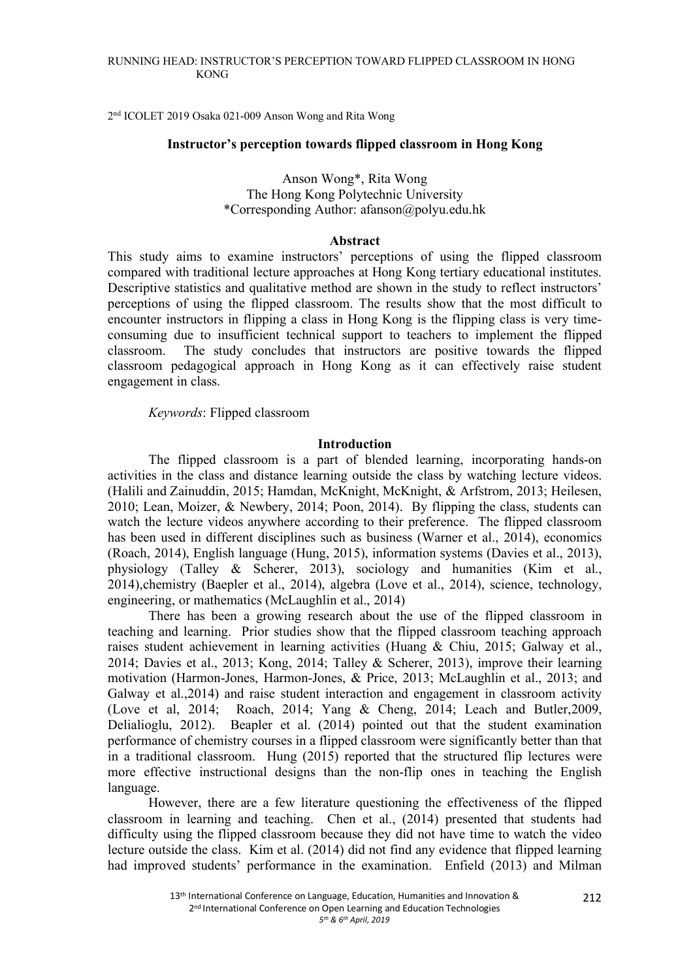### RUNNING HEAD: INSTRUCTOR'S PERCEPTION TOWARD FLIPPED CLASSROOM IN HONG KONG

2nd ICOLET 2019 Osaka 021-009 Anson Wong and Rita Wong

#### **Instructor's perception towards flipped classroom in Hong Kong**

# Anson Wong\*, Rita Wong The Hong Kong Polytechnic University \*Corresponding Author: afanson@polyu.edu.hk

#### **Abstract**

This study aims to examine instructors' perceptions of using the flipped classroom compared with traditional lecture approaches at Hong Kong tertiary educational institutes. Descriptive statistics and qualitative method are shown in the study to reflect instructors' perceptions of using the flipped classroom. The results show that the most difficult to encounter instructors in flipping a class in Hong Kong is the flipping class is very timeconsuming due to insufficient technical support to teachers to implement the flipped classroom. The study concludes that instructors are positive towards the flipped classroom pedagogical approach in Hong Kong as it can effectively raise student engagement in class.

*Keywords*: Flipped classroom

#### **Introduction**

The flipped classroom is a part of blended learning, incorporating hands-on activities in the class and distance learning outside the class by watching lecture videos. (Halili and Zainuddin, 2015; Hamdan, McKnight, McKnight, & Arfstrom, 2013; Heilesen, 2010; Lean, Moizer, & Newbery, 2014; Poon, 2014). By flipping the class, students can watch the lecture videos anywhere according to their preference. The flipped classroom has been used in different disciplines such as business (Warner et al., 2014), economics (Roach, 2014), English language (Hung, 2015), information systems (Davies et al., 2013), physiology (Talley & Scherer, 2013), sociology and humanities (Kim et al., 2014),chemistry (Baepler et al., 2014), algebra (Love et al., 2014), science, technology, engineering, or mathematics (McLaughlin et al., 2014)

There has been a growing research about the use of the flipped classroom in teaching and learning. Prior studies show that the flipped classroom teaching approach raises student achievement in learning activities (Huang & Chiu, 2015; Galway et al., 2014; Davies et al., 2013; Kong, 2014; Talley & Scherer, 2013), improve their learning motivation (Harmon-Jones, Harmon-Jones, & Price, 2013; McLaughlin et al., 2013; and Galway et al.,2014) and raise student interaction and engagement in classroom activity (Love et al, 2014; Roach, 2014; Yang & Cheng, 2014; Leach and Butler,2009, Delialioglu, 2012). Beapler et al. (2014) pointed out that the student examination performance of chemistry courses in a flipped classroom were significantly better than that in a traditional classroom. Hung (2015) reported that the structured flip lectures were more effective instructional designs than the non-flip ones in teaching the English language.

However, there are a few literature questioning the effectiveness of the flipped classroom in learning and teaching. Chen et al., (2014) presented that students had difficulty using the flipped classroom because they did not have time to watch the video lecture outside the class. Kim et al. (2014) did not find any evidence that flipped learning had improved students' performance in the examination. Enfield (2013) and Milman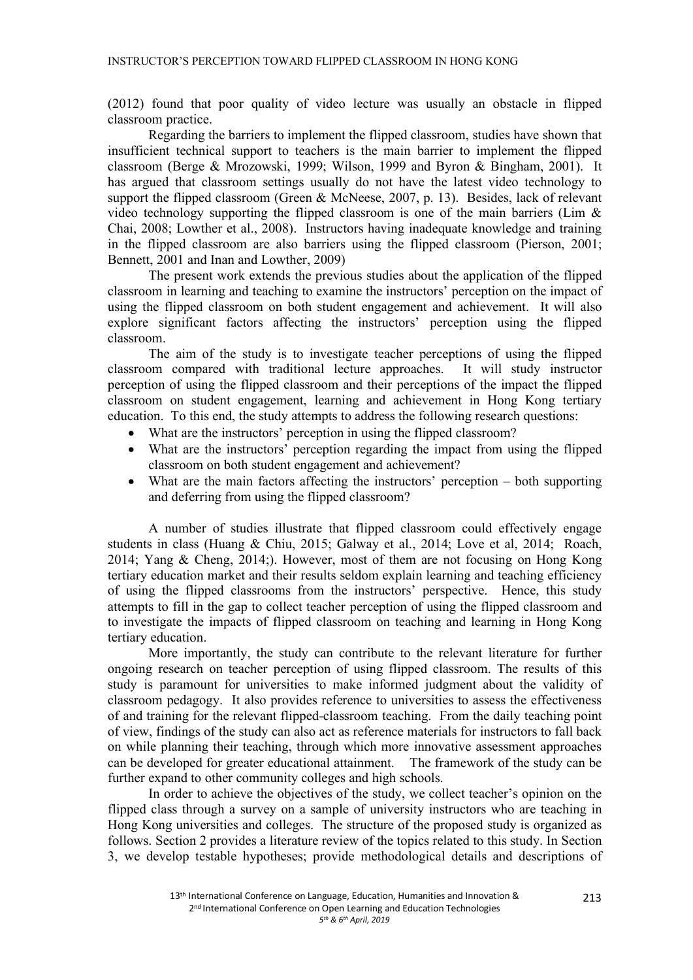(2012) found that poor quality of video lecture was usually an obstacle in flipped classroom practice.

Regarding the barriers to implement the flipped classroom, studies have shown that insufficient technical support to teachers is the main barrier to implement the flipped classroom (Berge & Mrozowski, 1999; Wilson, 1999 and Byron & Bingham, 2001). It has argued that classroom settings usually do not have the latest video technology to support the flipped classroom (Green & McNeese, 2007, p. 13). Besides, lack of relevant video technology supporting the flipped classroom is one of the main barriers (Lim  $\&$ Chai, 2008; Lowther et al., 2008). Instructors having inadequate knowledge and training in the flipped classroom are also barriers using the flipped classroom (Pierson, 2001; Bennett, 2001 and Inan and Lowther, 2009)

The present work extends the previous studies about the application of the flipped classroom in learning and teaching to examine the instructors' perception on the impact of using the flipped classroom on both student engagement and achievement. It will also explore significant factors affecting the instructors' perception using the flipped classroom.

The aim of the study is to investigate teacher perceptions of using the flipped classroom compared with traditional lecture approaches. It will study instructor perception of using the flipped classroom and their perceptions of the impact the flipped classroom on student engagement, learning and achievement in Hong Kong tertiary education. To this end, the study attempts to address the following research questions:

- What are the instructors' perception in using the flipped classroom?
- What are the instructors' perception regarding the impact from using the flipped classroom on both student engagement and achievement?
- What are the main factors affecting the instructors' perception  $-$  both supporting and deferring from using the flipped classroom?

A number of studies illustrate that flipped classroom could effectively engage students in class (Huang & Chiu, 2015; Galway et al., 2014; Love et al, 2014; Roach, 2014; Yang & Cheng, 2014;). However, most of them are not focusing on Hong Kong tertiary education market and their results seldom explain learning and teaching efficiency of using the flipped classrooms from the instructors' perspective. Hence, this study attempts to fill in the gap to collect teacher perception of using the flipped classroom and to investigate the impacts of flipped classroom on teaching and learning in Hong Kong tertiary education.

More importantly, the study can contribute to the relevant literature for further ongoing research on teacher perception of using flipped classroom. The results of this study is paramount for universities to make informed judgment about the validity of classroom pedagogy. It also provides reference to universities to assess the effectiveness of and training for the relevant flipped-classroom teaching. From the daily teaching point of view, findings of the study can also act as reference materials for instructors to fall back on while planning their teaching, through which more innovative assessment approaches can be developed for greater educational attainment. The framework of the study can be further expand to other community colleges and high schools.

In order to achieve the objectives of the study, we collect teacher's opinion on the flipped class through a survey on a sample of university instructors who are teaching in Hong Kong universities and colleges. The structure of the proposed study is organized as follows. Section 2 provides a literature review of the topics related to this study. In Section 3, we develop testable hypotheses; provide methodological details and descriptions of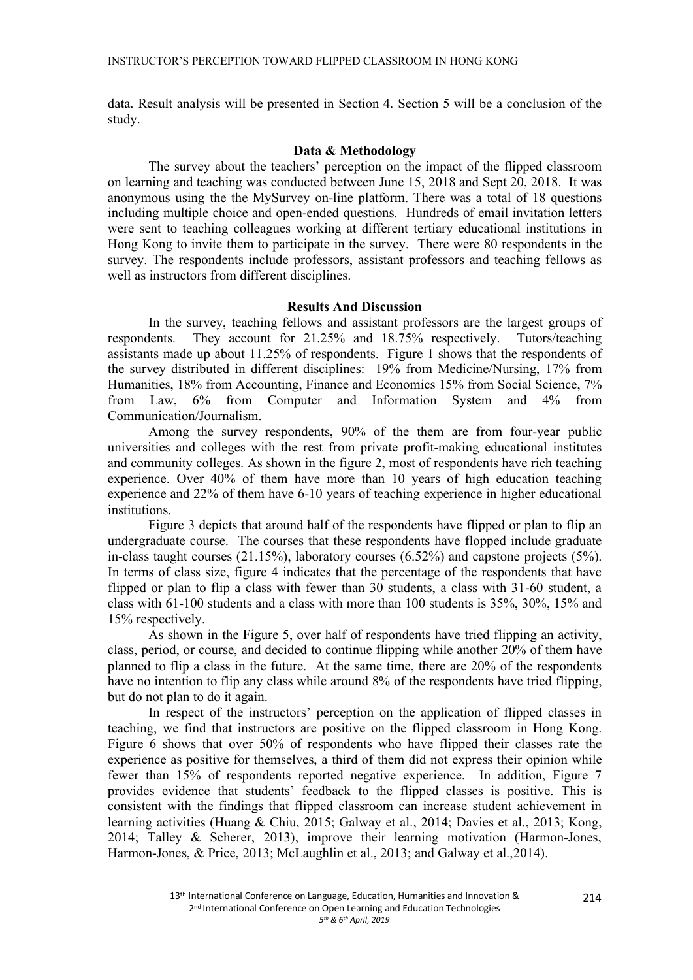data. Result analysis will be presented in Section 4. Section 5 will be a conclusion of the study.

# **Data & Methodology**

The survey about the teachers' perception on the impact of the flipped classroom on learning and teaching was conducted between June 15, 2018 and Sept 20, 2018. It was anonymous using the the MySurvey on-line platform. There was a total of 18 questions including multiple choice and open-ended questions. Hundreds of email invitation letters were sent to teaching colleagues working at different tertiary educational institutions in Hong Kong to invite them to participate in the survey. There were 80 respondents in the survey. The respondents include professors, assistant professors and teaching fellows as well as instructors from different disciplines.

## **Results And Discussion**

In the survey, teaching fellows and assistant professors are the largest groups of respondents. They account for 21.25% and 18.75% respectively. Tutors/teaching assistants made up about 11.25% of respondents. Figure 1 shows that the respondents of the survey distributed in different disciplines: 19% from Medicine/Nursing, 17% from Humanities, 18% from Accounting, Finance and Economics 15% from Social Science, 7% from Law, 6% from Computer and Information System and 4% from Communication/Journalism.

Among the survey respondents, 90% of the them are from four-year public universities and colleges with the rest from private profit-making educational institutes and community colleges. As shown in the figure 2, most of respondents have rich teaching experience. Over 40% of them have more than 10 years of high education teaching experience and 22% of them have 6-10 years of teaching experience in higher educational institutions.

Figure 3 depicts that around half of the respondents have flipped or plan to flip an undergraduate course. The courses that these respondents have flopped include graduate in-class taught courses (21.15%), laboratory courses (6.52%) and capstone projects (5%). In terms of class size, figure 4 indicates that the percentage of the respondents that have flipped or plan to flip a class with fewer than 30 students, a class with 31-60 student, a class with 61-100 students and a class with more than 100 students is 35%, 30%, 15% and 15% respectively.

As shown in the Figure 5, over half of respondents have tried flipping an activity, class, period, or course, and decided to continue flipping while another 20% of them have planned to flip a class in the future. At the same time, there are 20% of the respondents have no intention to flip any class while around 8% of the respondents have tried flipping, but do not plan to do it again.

In respect of the instructors' perception on the application of flipped classes in teaching, we find that instructors are positive on the flipped classroom in Hong Kong. Figure 6 shows that over 50% of respondents who have flipped their classes rate the experience as positive for themselves, a third of them did not express their opinion while fewer than 15% of respondents reported negative experience. In addition, Figure 7 provides evidence that students' feedback to the flipped classes is positive. This is consistent with the findings that flipped classroom can increase student achievement in learning activities (Huang & Chiu, 2015; Galway et al., 2014; Davies et al., 2013; Kong, 2014; Talley & Scherer, 2013), improve their learning motivation (Harmon-Jones, Harmon-Jones, & Price, 2013; McLaughlin et al., 2013; and Galway et al.,2014).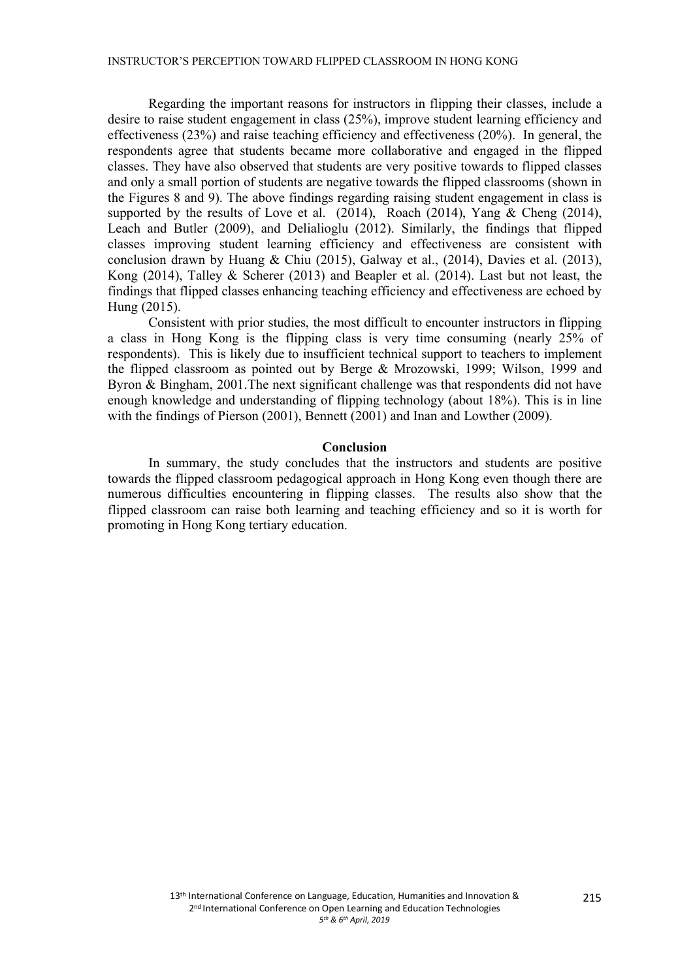Regarding the important reasons for instructors in flipping their classes, include a desire to raise student engagement in class (25%), improve student learning efficiency and effectiveness (23%) and raise teaching efficiency and effectiveness (20%). In general, the respondents agree that students became more collaborative and engaged in the flipped classes. They have also observed that students are very positive towards to flipped classes and only a small portion of students are negative towards the flipped classrooms (shown in the Figures 8 and 9). The above findings regarding raising student engagement in class is supported by the results of Love et al. (2014), Roach (2014), Yang & Cheng (2014), Leach and Butler (2009), and Delialioglu (2012). Similarly, the findings that flipped classes improving student learning efficiency and effectiveness are consistent with conclusion drawn by Huang & Chiu (2015), Galway et al., (2014), Davies et al. (2013), Kong (2014), Talley & Scherer (2013) and Beapler et al. (2014). Last but not least, the findings that flipped classes enhancing teaching efficiency and effectiveness are echoed by Hung (2015).

Consistent with prior studies, the most difficult to encounter instructors in flipping a class in Hong Kong is the flipping class is very time consuming (nearly 25% of respondents). This is likely due to insufficient technical support to teachers to implement the flipped classroom as pointed out by Berge & Mrozowski, 1999; Wilson, 1999 and Byron & Bingham, 2001.The next significant challenge was that respondents did not have enough knowledge and understanding of flipping technology (about 18%). This is in line with the findings of Pierson (2001), Bennett (2001) and Inan and Lowther (2009).

#### **Conclusion**

In summary, the study concludes that the instructors and students are positive towards the flipped classroom pedagogical approach in Hong Kong even though there are numerous difficulties encountering in flipping classes. The results also show that the flipped classroom can raise both learning and teaching efficiency and so it is worth for promoting in Hong Kong tertiary education.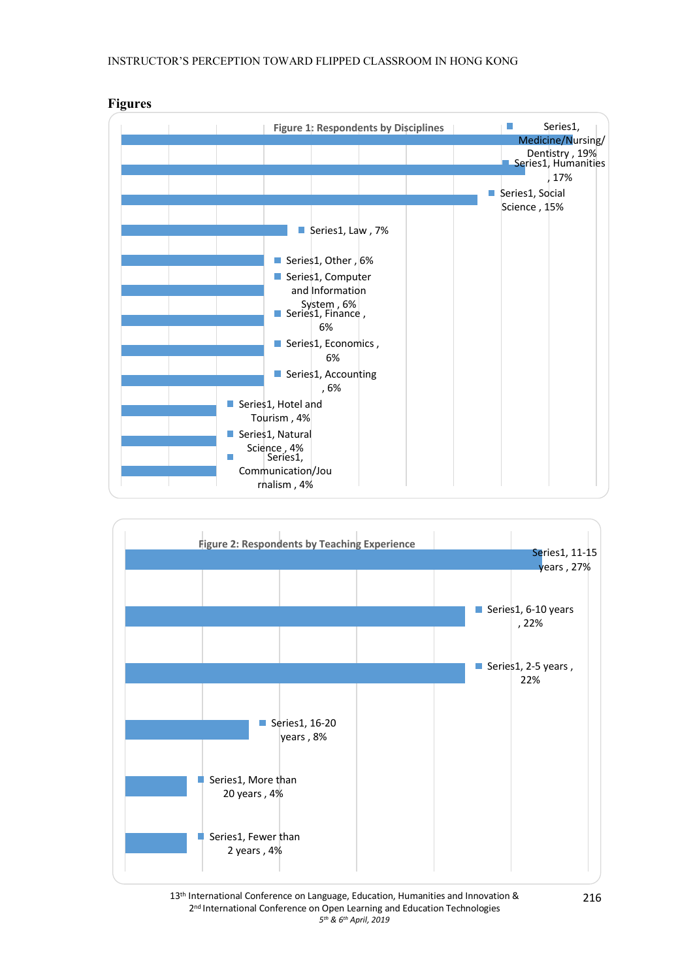

# **Figures**



13<sup>th</sup> International Conference on Language, Education, Humanities and Innovation & 2<sup>nd</sup> International Conference on Open Learning and Education Technologies *5th & 6th April, 2019*

216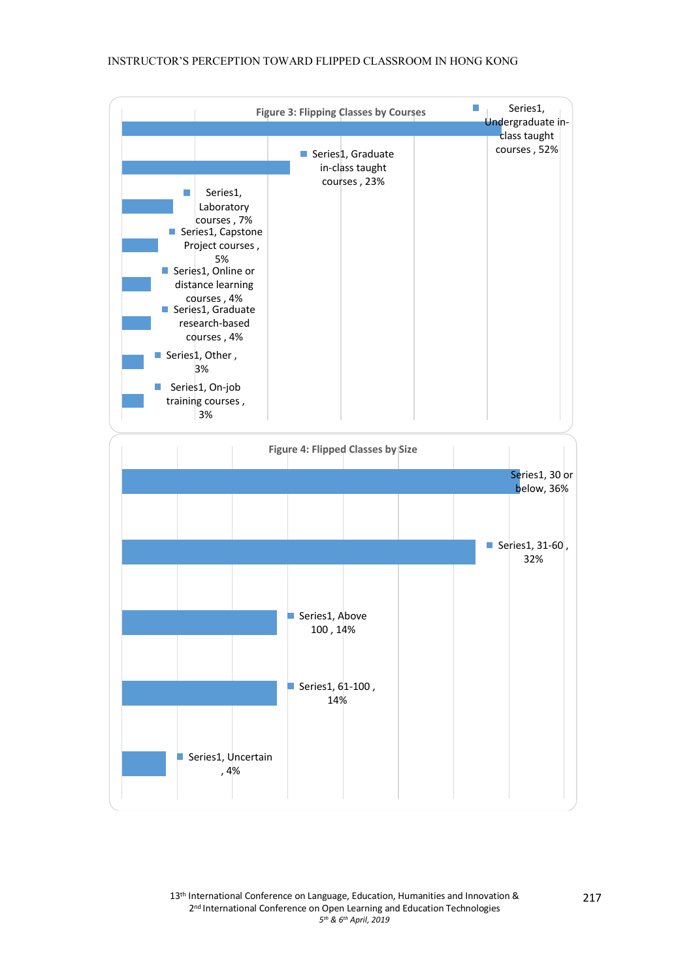#### INSTRUCTOR'S PERCEPTION TOWARD FLIPPED CLASSROOM IN HONG KONG

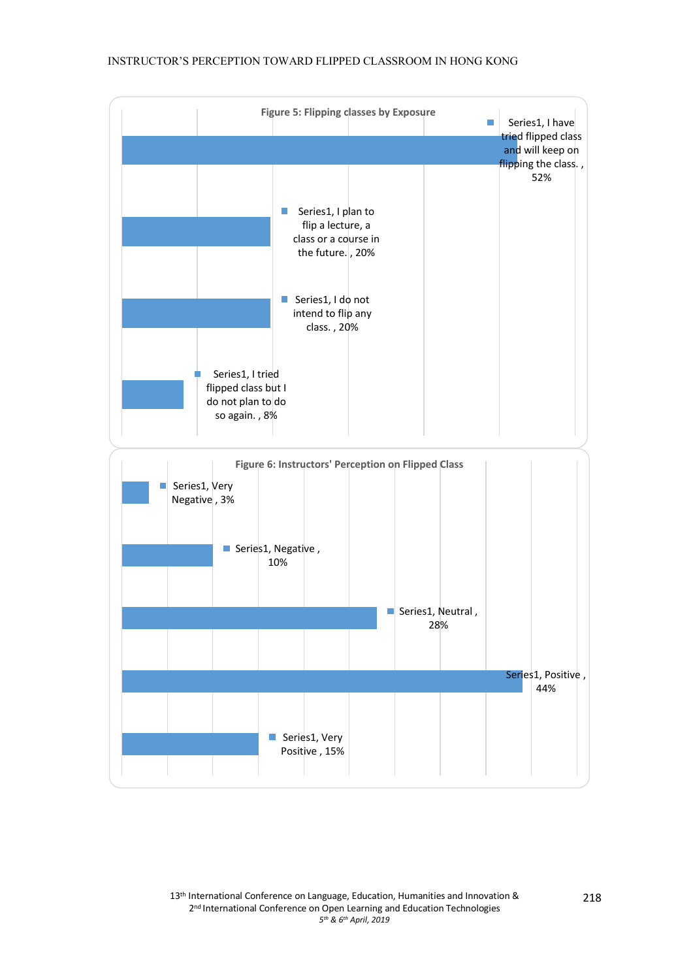# INSTRUCTOR'S PERCEPTION TOWARD FLIPPED CLASSROOM IN HONG KONG

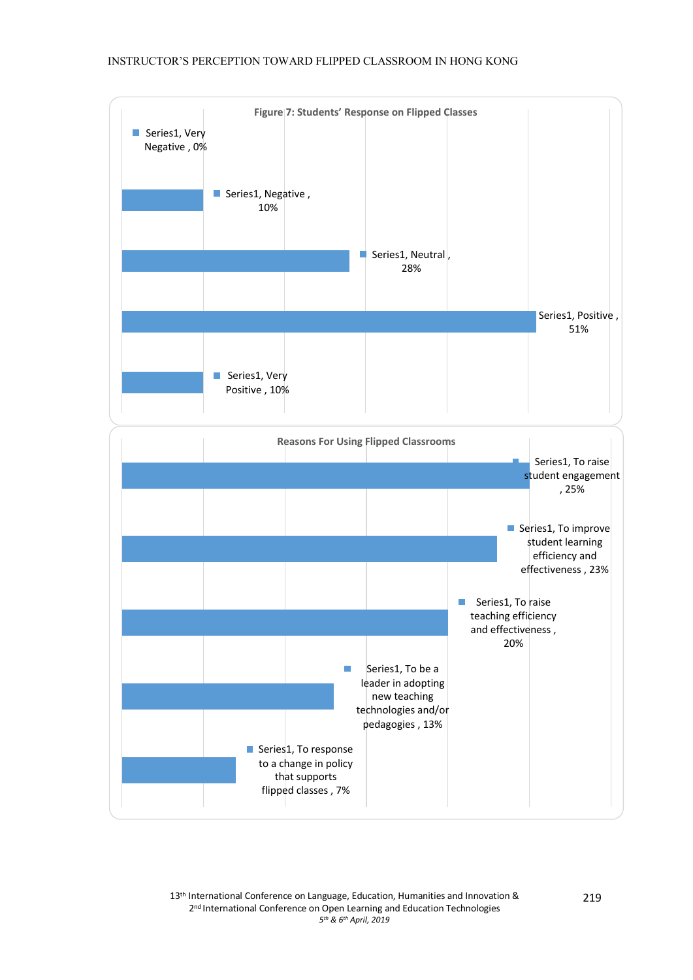# INSTRUCTOR'S PERCEPTION TOWARD FLIPPED CLASSROOM IN HONG KONG

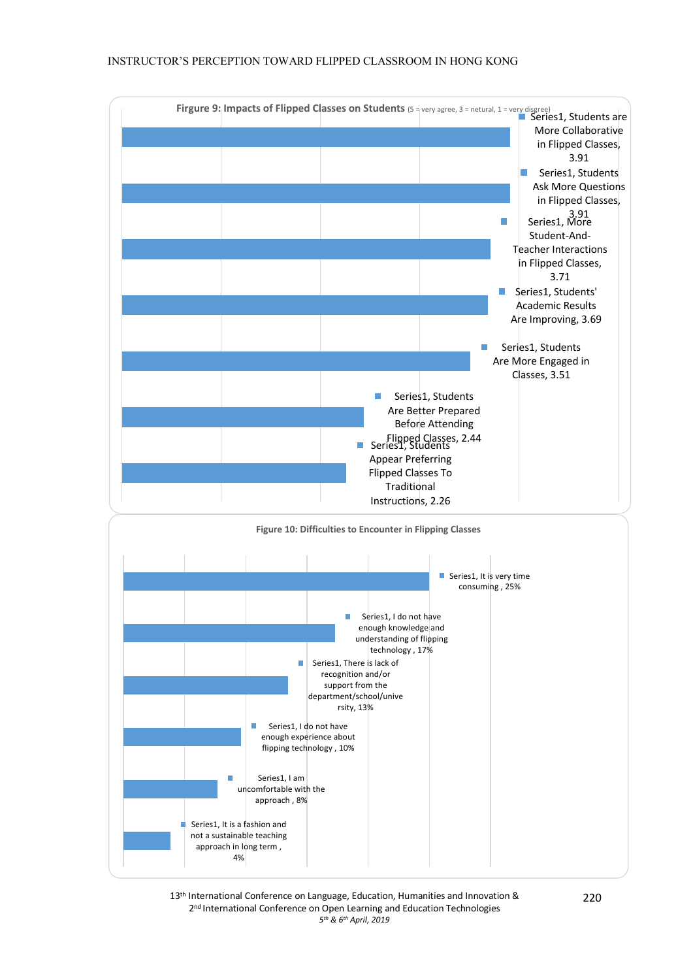

13<sup>th</sup> International Conference on Language, Education, Humanities and Innovation & 2<sup>nd</sup> International Conference on Open Learning and Education Technologies *5th & 6th April, 2019*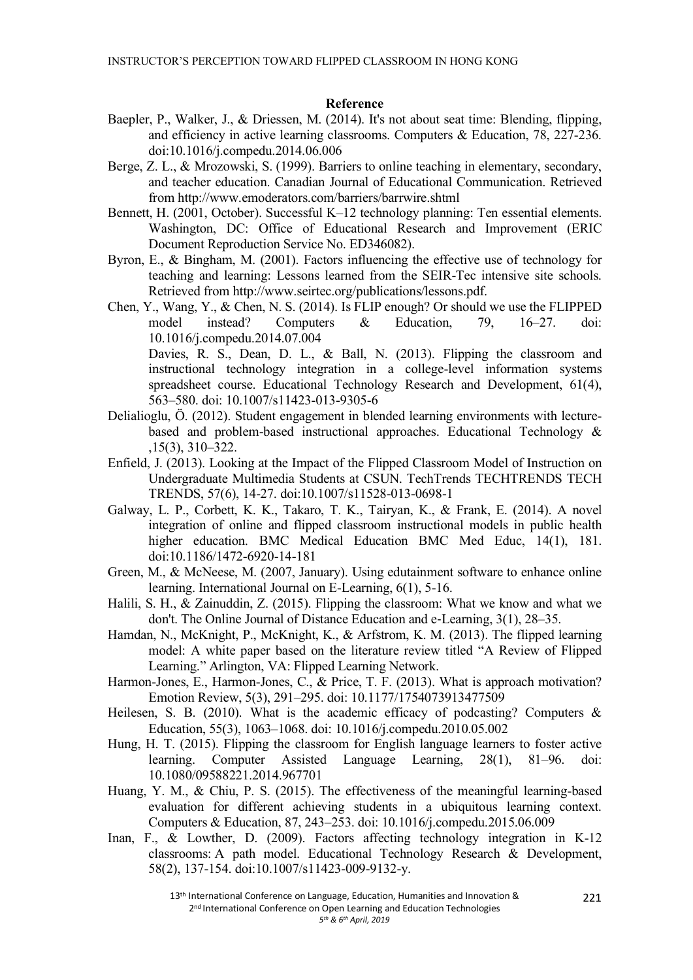#### **Reference**

- Baepler, P., Walker, J., & Driessen, M. (2014). It's not about seat time: Blending, flipping, and efficiency in active learning classrooms. Computers & Education, 78, 227-236. doi:10.1016/j.compedu.2014.06.006
- Berge, Z. L., & Mrozowski, S. (1999). Barriers to online teaching in elementary, secondary, and teacher education. Canadian Journal of Educational Communication. Retrieved from http://www.emoderators.com/barriers/barrwire.shtml
- Bennett, H. (2001, October). Successful K–12 technology planning: Ten essential elements. Washington, DC: Office of Educational Research and Improvement (ERIC Document Reproduction Service No. ED346082).
- Byron, E., & Bingham, M. (2001). Factors influencing the effective use of technology for teaching and learning: Lessons learned from the SEIR-Tec intensive site schools. Retrieved from http://www.seirtec.org/publications/lessons.pdf.
- Chen, Y., Wang, Y., & Chen, N. S. (2014). Is FLIP enough? Or should we use the FLIPPED model instead? Computers & Education, 79, 16–27. doi: 10.1016/j.compedu.2014.07.004 Davies, R. S., Dean, D. L., & Ball, N. (2013). Flipping the classroom and instructional technology integration in a college-level information systems
	- spreadsheet course. Educational Technology Research and Development, 61(4), 563–580. doi: 10.1007/s11423-013-9305-6
- Delialioglu, Ö. (2012). Student engagement in blended learning environments with lecturebased and problem-based instructional approaches. Educational Technology & ,15(3), 310–322.
- Enfield, J. (2013). Looking at the Impact of the Flipped Classroom Model of Instruction on Undergraduate Multimedia Students at CSUN. TechTrends TECHTRENDS TECH TRENDS, 57(6), 14-27. doi:10.1007/s11528-013-0698-1
- Galway, L. P., Corbett, K. K., Takaro, T. K., Tairyan, K., & Frank, E. (2014). A novel integration of online and flipped classroom instructional models in public health higher education. BMC Medical Education BMC Med Educ, 14(1), 181. doi:10.1186/1472-6920-14-181
- Green, M., & McNeese, M. (2007, January). Using edutainment software to enhance online learning. International Journal on E-Learning, 6(1), 5-16.
- Halili, S. H., & Zainuddin, Z. (2015). Flipping the classroom: What we know and what we don't. The Online Journal of Distance Education and e-Learning, 3(1), 28–35.
- Hamdan, N., McKnight, P., McKnight, K., & Arfstrom, K. M. (2013). The flipped learning model: A white paper based on the literature review titled "A Review of Flipped Learning." Arlington, VA: Flipped Learning Network.
- Harmon-Jones, E., Harmon-Jones, C., & Price, T. F. (2013). What is approach motivation? Emotion Review, 5(3), 291–295. doi: 10.1177/1754073913477509
- Heilesen, S. B. (2010). What is the academic efficacy of podcasting? Computers  $\&$ Education, 55(3), 1063–1068. doi: 10.1016/j.compedu.2010.05.002
- Hung, H. T. (2015). Flipping the classroom for English language learners to foster active learning. Computer Assisted Language Learning, 28(1), 81–96. doi: 10.1080/09588221.2014.967701
- Huang, Y. M., & Chiu, P. S. (2015). The effectiveness of the meaningful learning-based evaluation for different achieving students in a ubiquitous learning context. Computers & Education, 87, 243–253. doi: 10.1016/j.compedu.2015.06.009
- Inan, F., & Lowther, D. (2009). Factors affecting technology integration in K-12 classrooms: A path model. Educational Technology Research & Development, 58(2), 137-154. doi:10.1007/s11423-009-9132-y.